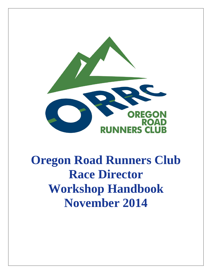

# **Oregon Road Runners Club Race Director Workshop Handbook November 2014**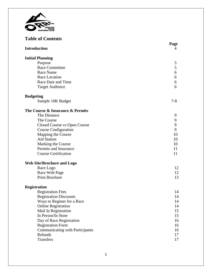

# **Table of Contents**

| <b>Introduction</b>                    | Page<br>4 |
|----------------------------------------|-----------|
|                                        |           |
| <b>Initial Planning</b>                |           |
| Purpose                                | 5         |
| <b>Race Committee</b>                  | 5         |
| Race Name                              | 6         |
| Race Location                          | 6         |
| Race Date and Time                     | 6         |
| <b>Target Audience</b>                 | 6         |
| <b>Budgeting</b>                       |           |
| Sample 10K Budget                      | $7 - 8$   |
| The Course & Insurance & Permits       |           |
| The Distance                           | 9         |
| The Course                             | 9         |
| Closed Course vs Open Course           | 9         |
| <b>Course Configuration</b>            | 9         |
| Mapping the Course                     | 10        |
| <b>Aid Station</b>                     | 10        |
| Marking the Course                     | 10        |
| Permits and Insurance                  | 11        |
| <b>Course Certification</b>            | 11        |
| <b>Web Site/Brochure and Logo</b>      |           |
| Race Logo                              | 12        |
| Race Web Page                          | 12        |
| <b>Print Brochure</b>                  | 13        |
| <b>Registration</b>                    |           |
| <b>Registration Fees</b>               | 14        |
| <b>Registration Discounts</b>          | 14        |
| Ways to Register for a Race            | 14        |
| <b>Online Registration</b>             | 14        |
| Mail In Registration                   | 15        |
| In Person/In Store                     | 15        |
| Day of Race Registration               | 16        |
| <b>Registration Form</b>               | 16        |
| <b>Communicating with Participants</b> | 16        |
| Refunds                                | 17        |
| Transfers                              | 17        |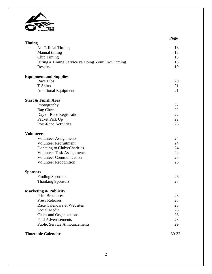

|                                                  | Page  |
|--------------------------------------------------|-------|
| <b>Timing</b>                                    |       |
| No Official Timing                               | 18    |
| Manual timing                                    | 18    |
| <b>Chip Timing</b>                               | 18    |
| Hiring a Timing Service vs Doing Your Own Timing | 18    |
| Results                                          | 19    |
| <b>Equipment and Supplies</b>                    |       |
| <b>Race Bibs</b>                                 | 20    |
| <b>T-Shirts</b>                                  | 21    |
| <b>Additional Equipment</b>                      | 21    |
| <b>Start &amp; Finish Area</b>                   |       |
| Photography                                      | 22    |
| <b>Bag Check</b>                                 | 22    |
| Day of Race Registration                         | 22    |
| Packet Pick Up                                   | 22    |
| <b>Post-Race Activities</b>                      | 23    |
| <b>Volunteers</b>                                |       |
| <b>Volunteer Assignments</b>                     | 24    |
| <b>Volunteer Recruitment</b>                     | 24    |
| Donating to Clubs/Charities                      | 24    |
| <b>Volunteer Task Assignments</b>                | 24    |
| <b>Volunteer Communication</b>                   | 25    |
| <b>Volunteer Recognition</b>                     | 25    |
| <b>Sponsors</b>                                  |       |
| <b>Finding Sponsors</b>                          | 26    |
| <b>Thanking Sponsors</b>                         | 27    |
| <b>Marketing &amp; Publicity</b>                 |       |
| <b>Print Brochures</b>                           | 28    |
| <b>Press Releases</b>                            | 28    |
| Race Calendars & Websites                        | 28    |
| Social Media                                     | 28    |
| Clubs and Organizations                          | 28    |
| <b>Paid Advertisements</b>                       | 28    |
| <b>Public Service Announcements</b>              | 29    |
| <b>Timetable Calendar</b>                        | 30-32 |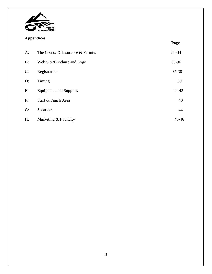

# **Appendices**

| . .   |                                  | Page      |
|-------|----------------------------------|-----------|
| $A$ : | The Course & Insurance & Permits | 33-34     |
| B:    | Web Site/Brochure and Logo       | $35 - 36$ |
| C:    | Registration                     | 37-38     |
| D:    | Timing                           | 39        |
| E:    | <b>Equipment and Supplies</b>    | $40 - 42$ |
| F:    | Start & Finish Area              | 43        |
| G:    | <b>Sponsors</b>                  | 44        |
| H:    | Marketing & Publicity            | $45 - 46$ |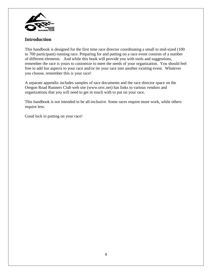

## **Introduction**

This handbook is designed for the first time race director coordinating a small to mid-sized (100 to 700 participant) running race. Preparing for and putting on a race event consists of a number of different elements. And while this book will provide you with tools and suggestions, remember the race is yours to customize to meet the needs of your organization. You should feel free to add fun aspects to your race and/or tie your race into another existing event. Whatever you choose, remember this is your race!

A separate appendix includes samples of race documents and the race director space on the Oregon Road Runners Club web site (www.orrc.net) has links to various vendors and organizations that you will need to get in touch with to put on your race.

This handbook is not intended to be all-inclusive. Some races require more work, while others require less.

Good luck in putting on your race!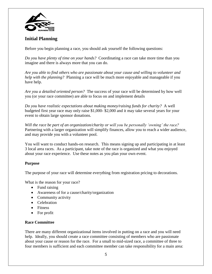

# **Initial Planning**

Before you begin planning a race, you should ask yourself the following questions:

*Do you have plenty of time on your hands?* Coordinating a race can take more time than you imagine and there is always more that you can do.

*Are you able to find others who are passionate about your cause and willing to volunteer and help with the planning?* Planning a race will be much more enjoyable and manageable if you have help.

*Are you a detailed oriented person?* The success of your race will be determined by how well you (or your race committee) are able to focus on and implement details

*Do you have realistic expectations about making money/raising funds for charity?* A well budgeted first year race may only raise \$1,000- \$2,000 and it may take several years for your event to obtain large sponsor donations.

*Will the race be part of an organization/charity or will you be personally 'owning' the race?* Partnering with a larger organization will simplify finances, allow you to reach a wider audience, and may provide you with a volunteer pool.

You will want to conduct hands-on research. This means signing up and participating in at least 3 local area races. As a participant, take note of the race is organized and what you enjoyed about your race experience. Use these notes as you plan your own event.

#### **Purpose**

The purpose of your race will determine everything from registration pricing to decorations.

What is the reason for your race?

- Fund raising
- Awareness of for a cause/charity/organization
- Community activity
- Celebration
- Fitness
- For profit

#### **Race Committee**

There are many different organizational items involved in putting on a race and you will need help. Ideally, you should create a race committee consisting of members who are passionate about your cause or reason for the race. For a small to mid-sized race, a committee of three to four members is sufficient and each committee member can take responsibility for a main area: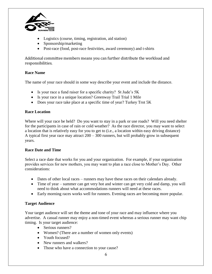

- Logistics (course, timing, registration, aid station)
- Sponsorship/marketing
- Post-race (food, post-race festivities, award ceremony) and t-shirts

Additional committee members means you can further distribute the workload and responsibilities.

#### **Race Name**

The name of your race should in some way describe your event and include the distance.

- Is your race a fund raiser for a specific charity? St Jude's 5K
- Is your race in a unique location? Greenway Trail Trial 1 Mile
- Does your race take place at a specific time of year? Turkey Trot 5K

#### **Race Location**

Where will your race be held? Do you want to stay in a park or use roads? Will you need shelter for the participants in case of rain or cold weather? As the race director, you may want to select a location that is relatively easy for you to get to (i.e., a location within easy driving distance) A typical first year race may attract 200 – 300 runners, but will probably grow in subsequent years.

#### **Race Date and Time**

Select a race date that works for you and your organization. For example, if your organization provides services for new mothers, you may want to plan a race close to Mother's Day. Other considerations:

- Dates of other local races runners may have these races on their calendars already.
- Time of year summer can get very hot and winter can get very cold and damp, you will need to think about what accommodations runners will need at these races.
- Early morning races works well for runners. Evening races are becoming more popular.

## **Target Audience**

Your target audience will set the theme and tone of your race and may influence where you advertise. A casual runner may enjoy a non-timed event whereas a serious runner may want chip timing. Is your target audience:

- Serious runners?
- Women? (There are a number of women only events)
- Youth focused?
- New runners and walkers?
- Those who have a connection to your cause?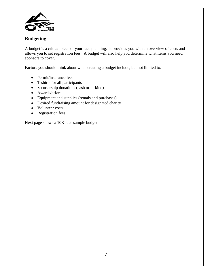

# **Budgeting**

A budget is a critical piece of your race planning. It provides you with an overview of costs and allows you to set registration fees. A budget will also help you determine what items you need sponsors to cover.

Factors you should think about when creating a budget include, but not limited to:

- Permit/insurance fees
- T-shirts for all participants
- Sponsorship donations (cash or in-kind)
- Awards/prizes
- Equipment and supplies (rentals and purchases)
- Desired fundraising amount for designated charity
- Volunteer costs
- Registration fees

Next page shows a 10K race sample budget.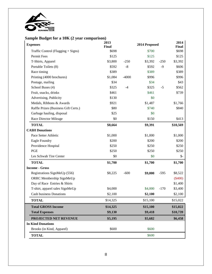

## **Sample Budget for a 10K (2 year comparison)**

|                          | <b>Expenses</b>                      | 2013<br><b>Final</b> |         | 2014 Proposed |        | 2014<br><b>Final</b> |  |
|--------------------------|--------------------------------------|----------------------|---------|---------------|--------|----------------------|--|
|                          | Traffic Control (Flagging + Signs)   | \$698                |         | \$700         |        | \$698                |  |
|                          | Permit Fees                          | \$125                |         | \$125         |        | \$125                |  |
|                          | T-Shirts, Apparel                    | \$3,800              | $-250$  | \$3,392       | $-250$ | \$3,392              |  |
|                          | Portable Toilets (8)                 | \$592                | $-8$    | \$592         | $-9$   | \$606                |  |
|                          | Race timing                          | \$389                |         | \$389         |        | \$389                |  |
|                          | Printing (4000 brochures)            | \$1,084              | $-4000$ | \$996         |        | \$996                |  |
|                          | Postage, mailing                     | \$34                 |         | \$34          |        | \$43                 |  |
|                          | School Buses (4)                     | \$325                | $-4$    | \$325         | $-5$   | \$562                |  |
|                          | Fruit, snacks, drinks                | \$461                |         | \$461         |        | \$739                |  |
|                          | Advertising, Publicity               | \$130                |         | \$0           |        |                      |  |
|                          | Medals, Ribbons & Awards             | \$921                |         | \$1,487       |        | \$1,766              |  |
|                          | Raffle Prizes (Business Gift Certs.) | \$80                 |         | \$740         |        | \$840                |  |
|                          | Garbage hauling, disposal            | \$25                 |         | \$0           |        |                      |  |
|                          | Race Director Mileage                | \$0                  |         | \$150         |        | \$413                |  |
|                          | <b>TOTAL</b>                         | \$8,664              |         | \$9,391       |        | \$10,569             |  |
|                          | <b>CA\$H Donations</b>               |                      |         |               |        |                      |  |
|                          | Pace Setter Athletic                 | \$1,000              |         | \$1,000       |        | \$1,000              |  |
|                          | Eagle Foundry                        | \$200                |         | \$200         |        | \$200                |  |
|                          | Providence Hospital                  | \$250                |         | \$250         |        | \$250                |  |
|                          | <b>PGE</b>                           | \$250                |         | \$250         |        | \$250                |  |
|                          | Les Schwab Tire Center               | \$0                  |         | \$0           |        | $\frac{1}{2}$        |  |
|                          | <b>TOTAL</b>                         | \$1,700              |         | \$1,700       |        | \$1,700              |  |
|                          | <b>Income - Gross</b>                |                      |         |               |        |                      |  |
|                          | Registrations SignMeUp (556)         | \$8,225              | $-600$  | \$9,000       | $-595$ | \$8,522              |  |
|                          | ORRC Membership SignMeUp             |                      |         |               |        | $(\$400)$            |  |
|                          | Day of Race Entries & Shirts         |                      |         |               |        | \$1,400              |  |
|                          | T-shirt, apparel sales SignMeUp      | \$4,000              |         | \$4,000       | $-170$ | \$3,400              |  |
|                          | <b>Cash business Donations</b>       | \$2,100              |         | \$2,100       |        | \$2,100              |  |
|                          | <b>TOTAL</b>                         | \$14,325             |         | \$15,100      |        | \$15,022             |  |
|                          | <b>Total GROSS Income</b>            | \$14,325             |         | \$15,100      |        | \$15,022             |  |
|                          | <b>Total Expenses</b>                | \$9,130              |         | \$9,418       |        | \$10,739             |  |
|                          | PROJECTED NET REVENUE                | \$5,195              |         | \$5,682       |        | \$6,458              |  |
| <b>In Kind Donations</b> |                                      |                      |         |               |        |                      |  |
|                          | Brooks (in Kind, Apparel)            | \$600                |         | \$600         |        |                      |  |
|                          | <b>TOTAL</b>                         |                      |         | \$600         |        |                      |  |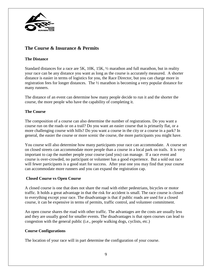

# **The Course & Insurance & Permits**

#### **The Distance**

Standard distances for a race are 5K, 10K, 15K, ½ marathon and full marathon, but in reality your race can be any distance you want as long as the course is accurately measured. A shorter distance is easier in terms of logistics for you, the Race Director, but you can charge more in registration fees for longer distances. The ½ marathon is becoming a very popular distance for many runners.

The distance of an event can determine how many people decide to run it and the shorter the course, the more people who have the capability of completing it.

## **The Course**

The composition of a course can also determine the number of registrations. Do you want a course run on the roads or on a trail? Do you want an easier course that is primarily flat, or a more challenging course with hills? Do you want a course in the city or a course in a park? In general, the easier the course or more scenic the course, the more participants you might have.

You course will also determine how many participants your race can accommodate. A course set on closed streets can accommodate more people than a course in a local park on trails. It is very important to cap the number people your course (and you) can manage. If a race event and course is over-crowded, no participant or volunteer has a good experience. But a sold out race will fewer participants is a good start for success. After year one you may find that your course can accommodate more runners and you can expand the registration cap.

#### **Closed Course vs Open Course**

A closed course is one that does not share the road with either pedestrians, bicycles or motor traffic. It holds a great advantage in that the risk for accident is small. The race course is closed to everything except your race. The disadvantage is that if public roads are used for a closed course, it can be expensive in terms of permits, traffic control, and volunteer commitment.

An open course shares the road with other traffic. The advantages are the costs are usually less and they are usually good for smaller events. The disadvantages is that open courses can lead to congestion with the general public (i.e., people walking dogs, cyclists, etc.)

#### **Course Configurations**

The location of your race will in part determine the configuration of your course.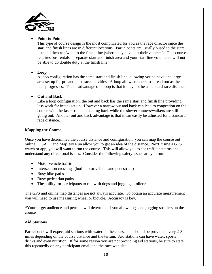

#### **Point to Point**

This type of course design is the most complicated for you as the race director since the start and finish lines are in different locations. Participants are usually bused to the start line and then run/walk to the finish line (where they have left their vehicles). This course requires bus rentals, a separate start and finish area and your start line volunteers will not be able to do double duty at the finish line.

#### **Loop**

A loop configuration has the same start and finish line, allowing you to have one large area set up for pre and post-race activities. A loop allows runners to spread out as the race progresses. The disadvantage of a loop is that it may not be a standard race distance.

#### **Out and Back**

Like a loop configuration, the out and back has the same start and finish line providing less work for initial set up. However a narrow out and back can lead to congestion on the course with the faster runners coming back while the slower runners/walkers are still going out. Another out and back advantage is that it can easily be adjusted for a standard race distance.

#### **Mapping the Course**

Once you have determined the course distance and configuration, you can map the course out online. USATF and Map My Run allow you to get an idea of the distance. Next, using a GPS watch or app, you will want to run the course. This will allow you to see traffic patterns and understand any directional issues. Consider the following safety issues are you run:

- Motor vehicle traffic
- Intersection crossings (both motor vehicle and pedestrian)
- Busy bike paths
- Busy pedestrian paths
- The ability for participants to run with dogs and jogging strollers\*

The GPS and online map distances are not always accurate. To obtain an accurate measurement you will need to use measuring wheel or bicycle. Accuracy is key.

**\***Your target audience and permits will determine if you allow dogs and jogging strollers on the course

#### **Aid Stations**

Participants will expect aid stations with water on the course and should be provided every 2-3 miles depending on the course distance and the terrain. Aid stations can have water, sports drinks and even nutrition. If for some reason you are not providing aid stations, be sure to state this repeatedly on any participant email and the race web site.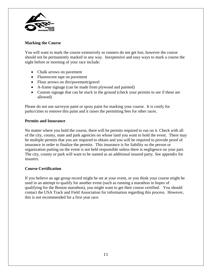

#### **Marking the Course**

You will want to mark the course extensively so runners do not get lost, however the course should not be permanently marked in any way. Inexpensive and easy ways to mark a course the night before or morning of your race include:

- Chalk arrows on pavement
- Fluorescent tape on pavement
- Flour arrows on dirt/pavement/gravel
- A-frame signage (can be made from plywood and painted)
- Custom signage that can be stuck in the ground (check your permits to see if these are allowed)

Please do not use surveyor paint or spray paint for marking your course. It is costly for parks/cities to remove this paint and it raises the permitting fees for other races.

#### **Permits and Insurance**

No matter where you hold the course, there will be permits required to run on it. Check with all of the city, county, state and park agencies on whose land you want to hold the event. There may be multiple permits that you are required to obtain and you will be required to provide proof of insurance in order to finalize the permits. This insurance is for liability so the person or organization putting on the event is not held responsible unless there is negligence on your part. The city, county or park will want to be named as an additional insured party. See appendix for insurers.

#### **Course Certification**

If you believe an age group record might be set at your event, or you think your course might be used in an attempt to qualify for another event (such as running a marathon in hopes of qualifying for the Boston marathon), you might want to get their course certified. You should contact the USA Track and Field Association for information regarding this process. However, this is not recommended for a first year race.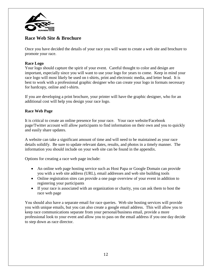

## **Race Web Site & Brochure**

Once you have decided the details of your race you will want to create a web site and brochure to promote your race.

#### **Race Logo**

Your logo should capture the spirit of your event. Careful thought to color and design are important, especially since you will want to use your logo for years to come. Keep in mind your race logo will most likely be used on t-shirts, print and electronic media, and letter head. It is best to work with a professional graphic designer who can create your logo in formats necessary for hardcopy, online and t-shirts.

If you are developing a print brochure, your printer will have the graphic designer, who for an additional cost will help you design your race logo.

#### **Race Web Page**

It is critical to create an online presence for your race. Your race website/Facebook page/Twitter account will allow participants to find information on their own and you to quickly and easily share updates.

A website can take a significant amount of time and will need to be maintained as your race details solidify. Be sure to update relevant dates, results, and photos in a timely manner. The information you should include on your web site can be found in the appendix.

Options for creating a race web page include:

- An online web page hosting service such as Host Papa or Google Domain can provide you with a web site address (URL), email addresses and web site building tools
- Online registration sites can provide a one page overview of your event in addition to registering your participants
- If your race is associated with an organization or charity, you can ask them to host the race web page

You should also have a separate email for race queries. Web site hosting services will provide you with unique emails, but you can also create a google email address. This will allow you to keep race communications separate from your personal/business email, provide a more professional look to your event and allow you to pass on the email address if you one day decide to step down as race director.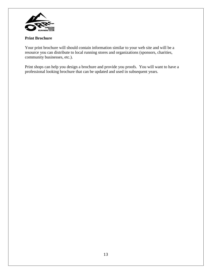

#### **Print Brochure**

Your print brochure will should contain information similar to your web site and will be a resource you can distribute to local running stores and organizations (sponsors, charities, community businesses, etc.).

Print shops can help you design a brochure and provide you proofs. You will want to have a professional looking brochure that can be updated and used in subsequent years.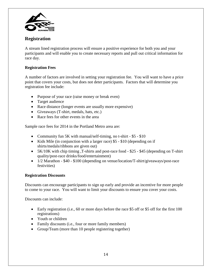

## **Registration**

A stream lined registration process will ensure a positive experience for both you and your participants and will enable you to create necessary reports and pull out critical information for race day.

### **Registration Fees**

A number of factors are involved in setting your registration fee. You will want to have a price point that covers your costs, but does not deter participants. Factors that will determine you registration fee include:

- Purpose of your race (raise money or break even)
- Target audience
- Race distance (longer events are usually more expensive)
- Giveaways (T-shirt, medals, hats, etc.)
- Race fees for other events in the area

Sample race fees for 2014 in the Portland Metro area are:

- Community fun 5K with manual/self-timing, no t-shirt \$5 \$10
- Kids Mile (in conjunction with a larger race) \$5 \$10 (depending on if shirts/medals/ribbons are given out)
- 5K/10K with chip timing ,T-shirts and post-race food \$25 \$45 (depending on T-shirt quality/post-race drinks/food/entertainment)
- 1/2 Marathon \$40 \$100 (depending on venue/location/T-shirt/giveaways/post-race festivities)

#### **Registration Discounts**

Discounts can encourage participants to sign up early and provide an incentive for more people to come to your race. You will want to limit your discounts to ensure you cover your costs.

Discounts can include:

- Early registration (i.e., 60 or more days before the race \$5 off or \$5 off for the first 100 registrations)
- Youth or children
- Family discounts (i.e., four or more family members)
- Group/Team (more than 10 people registering together)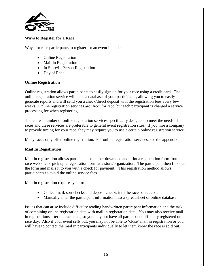

#### **Ways to Register for a Race**

Ways for race participants to register for an event include:

- Online Registration
- Mail In Registration
- In Store/In Person Registration
- Day of Race

#### **Online Registration**

Online registration allows participants to easily sign up for your race using a credit card. The online registration service will keep a database of your participants, allowing you to easily generate reports and will send you a check/direct deposit with the registration fees every few weeks. Online registration services are 'free' for race, but each participant is charged a service processing fee when registering.

There are a number of online registration services specifically designed to meet the needs of races and these services are preferable to general event registration sites. If you hire a company to provide timing for your race, they may require you to use a certain online registration service.

Many races only offer online registration. For online registration services, see the appendix.

#### **Mail In Registration**

Mail in registration allows participants to either download and print a registration form from the race web site or pick up a registration form at a store/organization. The participant then fills out the form and mails it to you with a check for payment. This registration method allows participants to avoid the online service fees.

Mail in registration requires you to:

- Collect mail, sort checks and deposit checks into the race bank account
- Manually enter the participant information into a spreadsheet or online database

Issues that can arise include difficulty reading handwritten participant information and the task of combining online registration data with mail in registration data. You may also receive mail in registrations after the race date, so you may not have all participants officially registered on race day. Also if your event sells out, you may not be able to 'close' mail in registration or you will have to contact the mail in participants individually to let them know the race is sold out.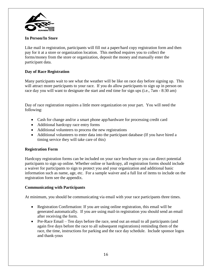

#### **In Person/In Store**

Like mail in registration, participants will fill out a paper/hard copy registration form and then pay for it at a store or organization location. This method requires you to collect the forms/money from the store or organization, deposit the money and manually enter the participant data.

#### **Day of Race Registration**

Many participants wait to see what the weather will be like on race day before signing up. This will attract more participants to your race. If you do allow participants to sign up in person on race day you will want to designate the start and end time for sign ups (i.e., 7am - 8:30 am)

Day of race registration requires a little more organization on your part. You will need the following:

- Cash for change and/or a smart phone app/hardware for processing credit card
- Additional hardcopy race entry forms
- Additional volunteers to process the new registrations
- Additional volunteers to enter data into the participant database (If you have hired a timing service they will take care of this)

#### **Registration Form**

Hardcopy registration forms can be included on your race brochure or you can direct potential participants to sign up online. Whether online or hardcopy, all registration forms should include a waiver for participants to sign to protect you and your organization and additional basic information such as name, age, etc. For a sample waiver and a full list of items to include on the registration form see the appendix.

#### **Communicating with Participants**

At minimum, you should be communicating via email with your race participants three times.

- Registration Confirmation: If you are using online registration, this email will be generated automatically. If you are using mail-in registration you should send an email after receiving the form.
- Pre-Race Email Ten days before the race, send out an email to all participants (and again five days before the race to all subsequent registrations) reminding them of the race, the time, instructions for parking and the race day schedule. Include sponsor logos and thank-yous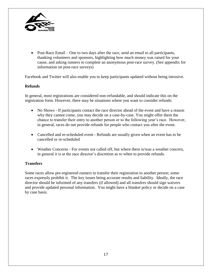

• Post-Race Email – One to two days after the race, send an email to all participants, thanking volunteers and sponsors, highlighting how much money was raised for your cause, and asking runners to complete an anonymous post-race survey. (See appendix for information on post-race surveys)

Facebook and Twitter will also enable you to keep participants updated without being intrusive.

#### **Refunds**

In general, most registrations are considered non-refundable, and should indicate this on the registration form. However, there may be situations where you want to consider refunds:

- No Shows If participants contact the race director ahead of the event and have a reason why they cannot come, you may decide on a case-by-case. You might offer them the chance to transfer their entry to another person or to the following year's race. However, in general, races do not provide refunds for people who contact you after the event.
- Cancelled and re-scheduled event Refunds are usually given when an event has to be cancelled or re-scheduled
- Weather Concerns For events not called off, but where there is/was a weather concern, in general it is at the race director's discretion as to when to provide refunds.

#### **Transfers**

Some races allow pre-registered runners to transfer their registration to another person; some races expressly prohibit it. The key issues being accurate results and liability. Ideally, the race director should be informed of any transfers (if allowed) and all transfers should sign waivers and provide updated personal information. You might have a blanket policy or decide on a case by case basis.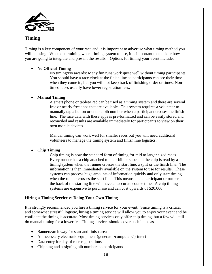

## **Timing**

Timing is a key component of your race and it is important to advertise what timing method you will be using. When determining which timing system to use, it is important to consider how you are going to integrate and present the results. Options for timing your event include:

#### **No Official Timing**

No timing/No awards: Many fun runs work quite well without timing participants. You should have a race clock at the finish line so participants can see their time when they come in, but you will not keep track of finishing order or times. Nontimed races usually have lower registration fees.

#### **Manual Timing**

A smart phone or tablet/iPad can be used as a timing system and there are several free or nearly free apps that are available. This system requires a volunteer to manually tap a button or enter a bib number when a participant crosses the finish line. The race data with these apps is pre-formatted and can be easily stored and reconciled and results are available immediately for participants to view on their own mobile devices.

Manual timing can work well for smaller races but you will need additional volunteers to manage the timing system and finish line logistics.

## **Chip Timing**

Chip timing is now the standard form of timing for mid to larger sized races. Every runner has a chip attached to their bib or shoe and the chip is read by a timing system when the runner crosses the start line, a split or the finish line. The information is then immediately available on the system to use for results. These systems can process huge amounts of information quickly and only start timing when the runner crosses the start line. This means a late participant or runner at the back of the starting line will have an accurate course time. A chip timing systems are expensive to purchase and can cost upwards of \$20,000.

## **Hiring a Timing Service vs Doing Your Own Timing**

It is strongly recommended you hire a timing service for your event. Since timing is a critical and somewhat stressful logistic, hiring a timing service will allow you to enjoy your event and be confident the timing is accurate. Most timing services only offer chip timing, but a few will still do manual timing for a lower fee. Timing services should cover such items as

- Banners/arch way for start and finish area
- All necessary electronic equipment (generator/computers/printer)
- Data entry for day of race registrations
- Chipping and assigning bib numbers to participants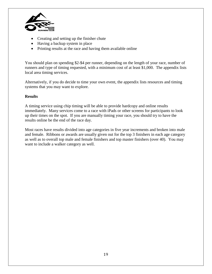

- Creating and setting up the finisher chute
- Having a backup system in place
- Printing results at the race and having them available online

You should plan on spending \$2-\$4 per runner, depending on the length of your race, number of runners and type of timing requested, with a minimum cost of at least \$1,000. The appendix lists local area timing services.

Alternatively, if you do decide to time your own event, the appendix lists resources and timing systems that you may want to explore.

#### **Results**

A timing service using chip timing will be able to provide hardcopy and online results immediately. Many services come to a race with iPads or other screens for participants to look up their times on the spot. If you are manually timing your race, you should try to have the results online be the end of the race day.

Most races have results divided into age categories in five year increments and broken into male and female. Ribbons or awards are usually given out for the top 3 finishers in each age category as well as to overall top male and female finishers and top master finishers (over 40). You may want to include a walker category as well.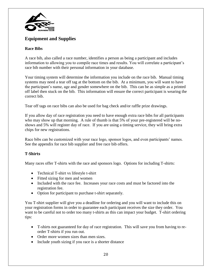

# **Equipment and Supplies**

## **Race Bibs**

A race bib, also called a race number, identifies a person as being a participant and includes information to allowing you to compile race times and results. You will correlate a participant's race bib number with their personal information in your database.

Your timing system will determine the information you include on the race bib. Manual timing systems may need a tear off tag at the bottom on the bib. At a minimum, you will want to have the participant's name, age and gender somewhere on the bib. This can be as simple as a printed off label then stuck on the bib. This information will ensure the correct participant is wearing the correct bib.

Tear off tags on race bibs can also be used for bag check and/or raffle prize drawings.

If you allow day of race registration you need to have enough extra race bibs for all participants who may show up that morning. A rule of thumb is that 5% of your pre-registered will be noshows and 5% will register day of race. If you are using a timing service, they will bring extra chips for new registrations.

Race bibs can be customized with your race logo, sponsor logos, and even participants' names. See the appendix for race bib supplier and free race bib offers.

## **T-Shirts**

Many races offer T-shirts with the race and sponsors logo. Options for including T-shirts:

- Technical T-shirt vs lifestyle t-shirt
- Fitted sizing for men and women
- Included with the race fee. Increases your race costs and must be factored into the registration fee.
- Option for participant to purchase t-shirt separately.

You T-shirt supplier will give you a deadline for ordering and you will want to include this on your registration forms in order to guarantee each participant receives the size they order. You want to be careful not to order too many t-shirts as this can impact your budget. T-shirt ordering tips:

- T-shirts not guaranteed for day of race registration. This will save you from having to reorder T-shirts if you run out.
- Order more women sizes than men sizes.
- Include youth sizing if you race is a shorter distance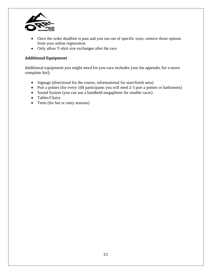

- Once the order deadline is past and you run out of specific sizes, remove those options from your online registration
- Only allow T-shirt size exchanges after the race

## **Additional Equipment**

Additional equipment you might need for you race includes (see the appendix for a more complete list):

- Signage (directional for the course, informational for start/finish area)
- Port a potties (for every 100 participants you will need 2-3 port a potties or bathrooms)
- Sound System (you can use a handheld megaphone for smaller races)
- Tables/Chairs
- Tents (for hot or rainy seasons)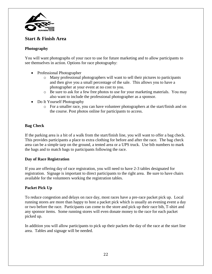

## **Start & Finish Area**

#### **Photography**

You will want photographs of your race to use for future marketing and to allow participants to see themselves in action. Options for race photography:

- Professional Photographer
	- o Many professional photographers will want to sell their pictures to participants and then give you a small percentage of the sale. This allows you to have a photographer at your event at no cost to you.
	- o Be sure to ask for a few free photos to use for your marketing materials. You may also want to include the professional photographer as a sponsor.
- Do It Yourself Photography
	- o For a smaller race, you can have volunteer photographers at the start/finish and on the course. Post photos online for participants to access.

#### **Bag Check**

If the parking area is a bit of a walk from the start/finish line, you will want to offer a bag check. This provides participants a place to extra clothing for before and after the race. The bag check area can be a simple tarp on the ground, a tented area or a UPS truck. Use bib numbers to mark the bags and to match bags to participants following the race.

#### **Day of Race Registration**

If you are offering day of race registration, you will need to have 2-3 tables designated for registration. Signage is important to direct participants to the right area. Be sure to have chairs available for the volunteers working the registration tables.

#### **Packet Pick Up**

To reduce congestion and delays on race day, most races have a pre-race packet pick up. Local running stores are more than happy to host a packet pick which is usually an evening event a day or two before the race. Participants can come to the store and pick up their race bib, T-shirt and any sponsor items. Some running stores will even donate money to the race for each packet picked up.

In addition you will allow participants to pick up their packets the day of the race at the start line area. Tables and signage will be needed.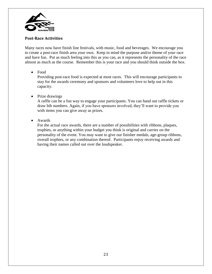

#### **Post-Race Activities**

Many races now have finish line festivals, with music, food and beverages. We encourage you to create a post-race finish area your own. Keep in mind the purpose and/or theme of your race and have fun. Put as much feeling into this as you can, as it represents the personality of the race almost as much as the course. Remember this is your race and you should think outside the box.

#### Food

Providing post-race food is expected at most races. This will encourage participants to stay for the awards ceremony and sponsors and volunteers love to help out in this capacity.

#### • Prize drawings

A raffle can be a fun way to engage your participants. You can hand out raffle tickets or draw bib numbers. Again, if you have sponsors involved, they'll want to provide you with items you can give away as prizes.

#### • Awards

For the actual race awards, there are a number of possibilities with ribbons, plaques, trophies, or anything within your budget you think is original and carries on the personality of the event. You may want to give out finisher medals, age-group ribbons, overall trophies, or any combination thereof. Participants enjoy receiving awards and having their names called out over the loudspeaker.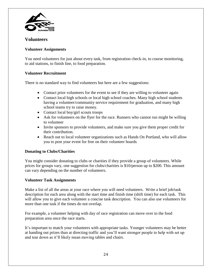

## **Volunteers**

#### **Volunteer Assignments**

You need volunteers for just about every task, from registration check-in, to course monitoring, to aid stations, to finish line, to food preparation.

#### **Volunteer Recruitment**

There is no standard way to find volunteers but here are a few suggestions:

- Contact prior volunteers for the event to see if they are willing to volunteer again
- Contact local high schools or local high school coaches. Many high school students having a volunteer/community service requirement for graduation, and many high school teams try to raise money.
- Contact local boy/girl scouts troops
- Ask for volunteers on the flyer for the race. Runners who cannot run might be willing to volunteer
- Invite sponsors to provide volunteers, and make sure you give them proper credit for their contribution.
- Reach out to local volunteer organizations such as Hands On Portland, who will allow you to post your event for free on their volunteer boards

#### **Donating to Clubs/Charities**

You might consider donating to clubs or charities if they provide a group of volunteers. While prices for groups vary, one suggestion for clubs/charities is \$10/person up to \$200. This amount can vary depending on the number of volunteers.

#### **Volunteer Task Assignments**

Make a list of all the areas at your race where you will need volunteers. Write a brief job/task description for each area along with the start time and finish time (shift time) for each task. This will allow you to give each volunteer a concise task description. You can also use volunteers for more than one task if the times do not overlap.

For example, a volunteer helping with day of race registration can move over to the food preparation area once the race starts.

It's important to match your volunteers with appropriate tasks. Younger volunteers may be better at handing out prizes than at directing traffic and you'll want stronger people to help with set up and tear down as it'll likely mean moving tables and chairs.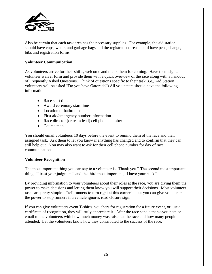

Also be certain that each task area has the necessary supplies. For example, the aid station should have cups, water, and garbage bags and the registration area should have pens, change, bibs and registration forms.

#### **Volunteer Communication**

As volunteers arrive for their shifts, welcome and thank them for coming. Have them sign a volunteer waiver form and provide them with a quick overview of the race along with a handout of Frequently Asked Questions. Think of questions specific to their task (i.e., Aid Station volunteers will be asked "Do you have Gatorade") All volunteers should have the following information:

- Race start time
- Award ceremony start time
- Location of bathrooms
- First aid/emergency number information
- Race director (or team lead) cell phone number
- Course map

You should email volunteers 10 days before the event to remind them of the race and their assigned task. Ask them to let you know if anything has changed and to confirm that they can still help out. You may also want to ask for their cell phone number for day of race communications.

#### **Volunteer Recognition**

The most important thing you can say to a volunteer is "Thank you." The second most important thing, "I trust your judgment" and the third most important, "I have your back."

By providing information to your volunteers about their roles at the race, you are giving them the power to make decisions and letting them know you will support their decisions. Most volunteer tasks are pretty simple – "tell runners to turn right at this corner" – but you can give volunteers the power to stop runners if a vehicle ignores road closure sign.

If you can give volunteers event T-shirts, vouchers for registration for a future event, or just a certificate of recognition, they will truly appreciate it. After the race send a thank-you note or email to the volunteers with how much money was raised at the race and how many people attended. Let the volunteers know how they contributed to the success of the race.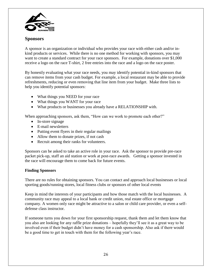

## **Sponsors**

A sponsor is an organization or individual who provides your race with either cash and/or inkind products or services. While there is no one method for working with sponsors, you may want to create a standard contract for your race sponsors. For example, donations over \$1,000 receive a logo on the race T-shirt, 2 free entries into the race and a logo on the race poster.

By honestly evaluating what your race needs, you may identify potential in-kind sponsors that can remove items from your cash budget. For example, a local restaurant may be able to provide refreshments, reducing or even removing that line item from your budget. Make three lists to help you identify potential sponsors:

- What things you NEED for your race
- What things you WANT for your race
- What products or businesses you already have a RELATIONSHIP with.

When approaching sponsors, ask them, "How can we work to promote each other?"

- In-store signage
- E-mail newsletters
- Putting event flyers in their regular mailings
- Allow them to donate prizes, if not cash
- Recruit among their ranks for volunteers.

Sponsors can be asked to take an active role in your race. Ask the sponsor to provide pre-race packet pick-up, staff an aid station or work at post-race awards. Getting a sponsor invested in the race will encourage them to come back for future events.

#### **Finding Sponsors**

There are no rules for obtaining sponsors. You can contact and approach local businesses or local sporting goods/running stores, local fitness clubs or sponsors of other local events

Keep in mind the interests of your participants and how those match with the local businesses. A community race may appeal to a local bank or credit union, real estate office or mortgage company. A women only race might be attractive to a salon or child care provider, or even a selfdefense class instructor.

If someone turns you down for your first sponsorship request, thank them and let them know that you also are looking for any raffle prize donations – hopefully they'll see it as a great way to be involved even if their budget didn't have money for a cash sponsorship. Also ask if there would be a good time to get in touch with them for the following year's race.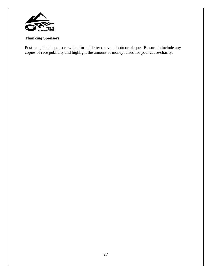

## **Thanking Sponsors**

Post-race, thank sponsors with a formal letter or even photo or plaque. Be sure to include any copies of race publicity and highlight the amount of money raised for your cause/charity.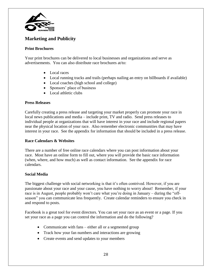

# **Marketing and Publicity**

#### **Print Brochures**

Your print brochures can be delivered to local businesses and organizations and serve as advertisements. You can also distribute race brochures at/to:

- Local races
- Local running tracks and trails (perhaps nailing an entry on billboards if available)
- Local coaches (high school and college)
- Sponsors' place of business
- Local athletic clubs

#### **Press Releases**

Carefully creating a press release and targeting your market properly can promote your race in local news publications and media – include print, TV and radio. Send press releases to individual people at organizations that will have interest in your race and include regional papers near the physical location of your race. Also remember electronic communities that may have interest in your race. See the appendix for information that should be included in a press release.

#### **Race Calendars & Websites**

There are a number of free online race calendars where you can post information about your race. Most have an online form to fill out, where you will provide the basic race information (when, where, and how much) as well as contact information. See the appendix for race calendars.

#### **Social Media**

The biggest challenge with social networking is that it's often contrived. However, if you are passionate about your race and your cause, you have nothing to worry about! Remember, if your race is in August, people probably won't care what you're doing in January – during the "offseason" you can communicate less frequently. Create calendar reminders to ensure you check in and respond to posts.

Facebook is a great tool for event directors. You can set your race as an event or a page. If you set your race as a page you can control the information and do the following?

- Communicate with fans either all or a segmented group
- Track how your fan numbers and interactions are growing
- Create events and send updates to your members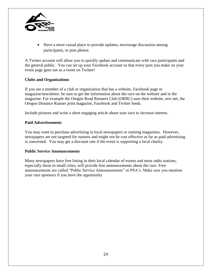

 Have a more casual place to provide updates, encourage discussion among participants, or post photos

A Twitter account will allow you to quickly update and communicate with race participants and the general public. You can set up your Facebook account so that every post you make on your event page goes out as a tweet on Twitter!

#### **Clubs and Organizations**

If you are a member of a club or organization that has a website, Facebook page or magazine/newsletter, be sure to get the information about the race on the website and in the magazine. For example the Oregon Road Runners Club (ORRC) uses their website, orrc.net, the Oregon Distance Runner print magazine, Facebook and Twitter feeds.

Include pictures and write a short engaging article about your race to increase interest.

#### **Paid Advertisements**

You may want to purchase advertising in local newspapers or running magazines. However, newspapers are not targeted for runners and might not be cost effective as far as paid advertising is concerned. You may get a discount rate if the event is supporting a local charity.

#### **Public Service Announcements**

Many newspapers have free listing in their local calendar of events and most radio stations, especially those in small cities, will provide free announcements about the race. Free announcements are called "Public Service Announcements" or PSA's. Make sure you mention your race sponsors if you have the opportunity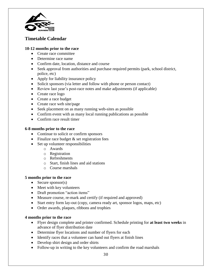

# **Timetable Calendar**

#### **10-12 months prior to the race**

- Create race committee
- Determine race name
- Confirm date, location, distance and course
- Seek approval from authorities and purchase required permits (park, school district, police, etc)
- Apply for liability insurance policy
- Solicit sponsors (via letter and follow with phone or person contact)
- Review last year's post-race notes and make adjustments (if applicable)
- Create race logo
- Create a race budget
- Create race web site/page
- Seek placement on as many running web-sites as possible
- Confirm event with as many local running publications as possible
- Confirm race result timer

#### **6-8 months prior to the race**

- Continue to solicit or confirm sponsors
- Finalize race budget  $&$  set registration fees
- Set up volunteer responsibilities
	- o Awards
	- o Registration
	- o Refreshments
	- o Start, finish lines and aid stations
	- o Course marshals

#### **5 months prior to the race**

- $\bullet$  Secure sponsor(s)
- Meet with key volunteers
- Draft promotion "action items"
- Measure course, re-mark and certify (if required and approved)
- Start entry form lay-out (copy, camera ready art, sponsor logos, maps, etc)
- Order awards, plaques, ribbons and trophies

#### **4 months prior to the race**

- Flyer design complete and printer confirmed. Schedule printing for **at least two weeks** in advance of flyer distribution date
- Determine flyer locations and number of flyers for each
- Identify races that a volunteer can hand out flyers at finish lines
- Develop shirt design and order shirts
- Follow-up in writing to the key volunteers and confirm the road marshals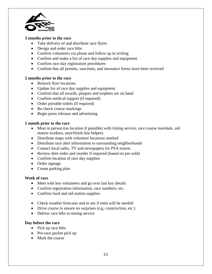

#### **3 months prior to the race**

- Take delivery of and distribute race flyers
- Design and order race bibs
- Confirm volunteers via phone and follow up in writing
- Confirm and make a list of race day supplies and equipment
- Confirm race day registration procedures
- Confirm that all permits, sanctions, and insurance forms have been received

#### **2 months prior to the race**

- Restock flyer locations
- Update list of race day supplies and equipment
- Confirm that all awards, plaques and trophies are on hand
- Confirm medical support (if required)
- Order portable toilets (if required)
- Re-check course markings
- Begin press releases and advertising

#### **1 month prior to the race**

- Meet in person (on location if possible) with timing service, race course marshals, aid station workers, start/finish line helpers.
- Distribute maps with volunteer locations marked
- Distribute race alert information to surrounding neighborhoods
- Contact local radio, TV and newspapers for PSA inserts
- Review shirt order and reorder if required (based on pre-sold)
- Confirm location of race day supplies
- Order signage
- Create parking plan

#### **Week of race**

- Meet with key volunteers and go over last key details
- Confirm registration information, race numbers, etc.
- Confirm food and aid station supplies
- Check weather forecasts and to see if tents will be needed
- Drive course to ensure no surprises (e.g. construction, etc.)
- Deliver race bibs to timing service

#### **Day before the race**

- $\bullet$  Pick up race bibs
- Pre-race packet pick up
- Mark the course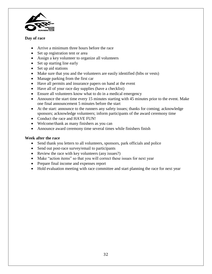

#### **Day of race**

- Arrive a minimum three hours before the race
- Set up registration tent or area
- Assign a key volunteer to organize all volunteers
- Set up starting line early
- Set up aid stations
- Make sure that you and the volunteers are easily identified (bibs or vests)
- Manage parking from the first car
- Have all permits and insurance papers on hand at the event
- Have all of your race day supplies (have a checklist)
- Ensure all volunteers know what to do in a medical emergency
- Announce the start time every 15 minutes starting with 45 minutes prior to the event. Make one final announcement 5 minutes before the start
- At the start: announce to the runners any safety issues; thanks for coming; acknowledge sponsors; acknowledge volunteers; inform participants of the award ceremony time
- Conduct the race and HAVE FUN!
- Welcome/thank as many finishers as you can
- Announce award ceremony time several times while finishers finish

#### **Week after the race**

- Send thank you letters to all volunteers, sponsors, park officials and police
- Send out post-race survey/email to participants
- Review the race with key volunteers (any issues?)
- Make "action items" so that you will correct these issues for next year
- Prepare final income and expenses report
- Hold evaluation meeting with race committee and start planning the race for next year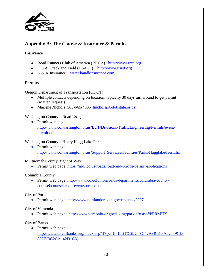

# **Appendix A: The Course & Insurance & Permits**

#### **Insurance**

- Road Runners Club of America (RRCA) [http://www.rrca.org](http://www.rrca.org/)
- U.S.A. Track and Field (USATF) [http://www.usatf.org](http://www.usatf.org/)
- K & K Insurance [www.kandkinsurance.com](http://www.kandkinsurance.com/)

#### **Permits**

Oregon Department of Transportation (ODOT)

- Multiple contacts depending on location, typically 30 days turnaround to get permit (written request)
- Marlene Nichols 503-665-4006 [tnichols@odot.state.or.us](mailto:tnichols@odot.state.or.us)

#### Washington County – Road Usage

• Permit web page [http://www.co.washington.or.us/LUT/Divisions/TrafficEngineering/Permits/event](http://www.co.washington.or.us/LUT/Divisions/TrafficEngineering/Permits/event-permit.cfm)[permit.cfm](http://www.co.washington.or.us/LUT/Divisions/TrafficEngineering/Permits/event-permit.cfm)

#### Washington County – Henry Hagg Lake Park

• Permit web page http://www.co.washington.or.us/Support\_Services/Facilities/Parks/Hagglake/fees.cfm

Multnomah County Right of Way

• Permit web page https://multco.us/roads/road-and-bridge-permit-applications

#### Columbia County

 Permit web page http://www.co.columbia.or.us/departments/columbia-countycounsel/counsel-road-events-ordinance

City of Portland

• Permit web page http://www.portlandoregon.gov/revenue/2997

#### City of Vernonia

Permit web page http://www.vernonia-or.gov/living/parkinfo.asp#PERMITS

City of Banks

• Permit web page http://www.cityofbanks.org/index.asp?Type=B\_LIST&SEC={C42953C8-FA6C-49CD-882F-BC2CA142D1C3}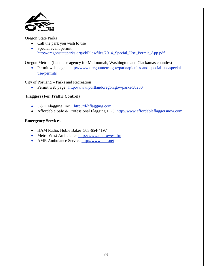

Oregon State Parks

- Call the park you wish to use
- Special event permit http://oregonstateparks.org/ckFiles/files/2014\_Special\_Use\_Permit\_App.pdf

Oregon Metro (Land use agency for Multnomah, Washington and Clackamas counties)

 Permit web page http://www.oregonmetro.gov/parks/picnics-and-special-use/specialuse-permits

City of Portland – Parks and Recreation

• Permit web page http://www.portlandoregon.gov/parks/38280

## **Flaggers (For Traffic Control)**

- D&H Flagging, Inc. http://d-hflagging.com
- Affordable Safe & Professional Flagging LLC\_http:/[/www.affordableflaggersnow.com](http://www.affordableflaggersnow.com/)

#### **Emergency Services**

- HAM Radio, Hobie Baker 503-654-4197
- Metro West Ambulance http://www.metrowest.fm
- AMR Ambulance Service http://www.amr.net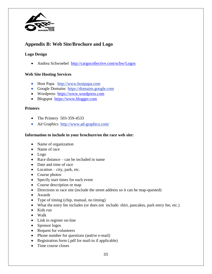

# **Appendix B: Web Site/Brochure and Logo**

#### **Logo Design**

• Andrea Schwoebel <http://cargocollective.com/schw/Logos>

#### **Web Site Hosting Services**

- Host Papa [http://www.hostpapa.com](http://www.hostpapa.com/)
- Google Domains [https://domains.google.com](https://domains.google.com/)
- Wordpress [https://www.wordpress.com](https://www.wordpress.com/)
- Blogspot [https://www.blogger.com](https://www.blogger.com/)

#### **Printers**

- The Printery 503-359-4533
- Ad Graphics http://www.ad-graphics.com/

#### **Information to include in your brochure/on the race web site:**

- Name of organization
- Name of race
- Logo
- Race distance can be included in name
- Date and time of race
- Location city, park, etc.
- Course photos
- Specify start times for each event
- Course description or map
- Directions to race site (include the street address so it can be map-quested)
- Awards
- Type of timing (chip, manual, no timing)
- What the entry fee includes (or does not include: shirt, pancakes, park entry fee, etc.)
- Kids run
- Walk
- Link to register on-line
- Sponsor logos
- Request for volunteers
- Phone number for questions (and/or e-mail)
- Registration form (.pdf for mail-in if applicable)
- Time course closes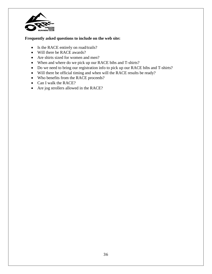

#### **Frequently asked questions to include on the web site:**

- Is the RACE entirely on road/trails?
- Will there be RACE awards?
- Are shirts sized for women and men?
- When and where do we pick up our RACE bibs and T-shirts?
- Do we need to bring our registration info to pick up our RACE bibs and T-shirts?
- Will there be official timing and when will the RACE results be ready?
- Who benefits from the RACE proceeds?
- Can I walk the RACE?
- Are jog strollers allowed in the RACE?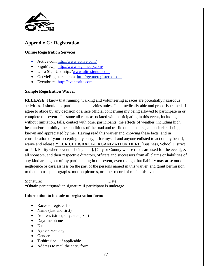

# **Appendix C : Registration**

#### **Online Registration Services**

- Active.com http://www.active.com/
- SignMeUp <http://www.signmeup.com/>
- Ultra Sign Up http:/[/www.ultrasignup.com](http://www.ultrasignup.com/)
- GetMeRegistered.com http://getmeregistered.com
- Eventbrite [http://eventbrite.com](http://eventbrite.com/)

#### **Sample Registration Waiver**

**RELEASE:** I know that running, walking and volunteering at races are potentially hazardous activities. I should not participate in activities unless I am medically able and properly trained. I agree to abide by any decision of a race official concerning my being allowed to participate in or complete this event. I assume all risks associated with participating in this event, including, without limitation, falls, contact with other participants, the effects of weather, including high heat and/or humidity, the conditions of the road and traffic on the course, all such risks being known and appreciated by me. Having read this waiver and knowing these facts, and in consideration of your accepting my entry, I, for myself and anyone enlisted to act on my behalf, waive and release **YOUR CLUB/RACE/ORGANIZATION HERE** [Business, School District or Park Entity where event is being held], [City or County whose roads are used for the event], & all sponsors, and their respective directors, officers and successors from all claims or liabilities of any kind arising out of my participating in this event, even though that liability may arise out of negligence or carelessness on the part of the persons named in this waiver, and grant permission to them to use photographs, motion pictures, or other record of me in this event.

Signature: \_\_\_\_\_\_\_\_\_\_\_\_\_\_\_\_\_\_\_\_\_\_\_\_\_\_\_\_\_\_\_ Date: \_\_\_\_\_\_\_\_\_\_\_\_\_\_\_\_\_\_\_\_\_\_\_\_\_\_\_\_\_\_\_\_ \*Obtain parent/guardian signature if participant is underage

#### **Information to include on registration form:**

- Races to register for
- Name (last and first)
- Address (street, city, state, zip)
- Daytime phone
- E-mail
- Age on race day
- Gender
- $\bullet$  T-shirt size if applicable
- Address to mail the entry form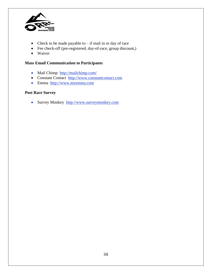

- Check to be made payable to  $-$  if mail in or day of race
- Fee check-off (pre-registered, day-of-race, group discount,)
- Waiver

#### **Mass Email Communication to Participants**

- Mail Chimp http://mailchimp.com/
- Constant Contact http://www.constantcontact.com
- Emma http://www.myemma.com

## **Post Race Survey**

• Survey Monkey http://www.surveymonkey.com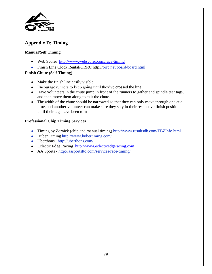

# **Appendix D: Timing**

## **Manual/Self Timing**

- Web Scorer <http://www.webscorer.com/race-timing>
- Finish Line Clock Rental/ORRC http://orrc.net/board/board.html

#### **Finish Chute (Self Timing)**

- Make the finish line easily visible
- Encourage runners to keep going until they've crossed the line
- Have volunteers in the chute jump in front of the runners to gather and spindle tear tags, and then move them along to exit the chute.
- The width of the chute should be narrowed so that they can only move through one at a time, and another volunteer can make sure they stay in their respective finish position until their tags have been torn

#### **Professional Chip Timing Services**

- Timing by Zornick (chip and manual timing) http://www.resultsdb.com/TBZInfo.html
- Huber Timing http://www.hubertiming.com/
- Uberthons http://uberthons.com/
- Eclectic Edge Racing [http://www.eclecticedgeracing.com](http://www.eclecticedgeracing.com/)
- AA Sports http://aasportsltd.com/services/race-timing/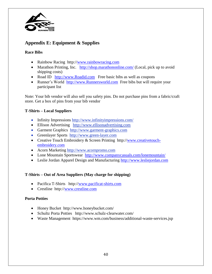

# **Appendix E: Equipment & Supplies**

#### **Race Bibs**

- Rainbow Racing http:/[/www.rainbowracing.com](http://www.rainbowracing.com/)
- Marathon Printing, Inc.  $\frac{http://shop.marathononline.com/}{\text{Local, pick up to avoid}}$  $\frac{http://shop.marathononline.com/}{\text{Local, pick up to avoid}}$  $\frac{http://shop.marathononline.com/}{\text{Local, pick up to avoid}}$ shipping costs)
- Road ID [http://www.Roadid.com](http://www.roadid.com/) Free basic bibs as well as coupons
- Runner's World [http://www.Runnersworld.com](http://www.runnersworld.com/) Free bibs but will require your participant list

Note: Your bib vendor will also sell you safety pins. Do not purchase pins from a fabric/craft store. Get a box of pins from your bib vendor

#### **T-Shirts – Local Suppliers**

- Infinity Impressions http://www.infinityimpressions.com/
- Ellison Advertising http:/[/www.ellisonadvertising.com](http://www.ellisonadvertising.com/)
- Garment Graphics http:/[/www.garment-graphics.com](http://www.garment-graphics.com/)
- Greenlayer Sports http://www.green-layer.com
- Creative Touch Embroidery & Screen Printing http:/[/www.creativetouch](http://www.creativetouch-embroidery.com/)[embroidery.com](http://www.creativetouch-embroidery.com/)
- Acorn Marketing http:/[/www.acornpromo.com](http://www.acornpromo.com/)
- Lone Mountain Sportswear <http://www.companycasuals.com/lonemountain/>
- Leslie Jordan Apparel Design and Manufacturing [http://www.lesliejordan.com](http://www.lesliejordan.com/)

## **T-Shirts – Out of Area Suppliers (May charge for shipping)**

- Pacifica T-Shirts http:/[/www.pacificat-shirts.com](http://www.pacificat-shirts.com/)
- Crestline http:/[/www.crestline.com](http://www.crestline.com/)

#### **Porta Potties**

- Honey Bucket http://www.honeybucket.com/
- Schultz Porta Potties http://www.schulz-clearwater.com/
- Waste Management https://www.wm.com/business/additional-waste-services.jsp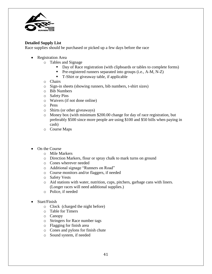

#### **Detailed Supply List**

Race supplies should be purchased or picked up a few days before the race

- Registration Area
	- o Tables and Signage
		- Day of Race registration (with clipboards or tables to complete forms)
		- **Pre-registered runners separated into groups (i.e., A-M, N-Z)**
		- T-Shirt or giveaway table, if applicable
	- o Chairs
	- o Sign-in sheets (showing runners, bib numbers, t-shirt sizes)
	- o Bib Numbers
	- o Safety Pins
	- o Waivers (if not done online)
	- o Pens
	- o Shirts (or other giveaways)
	- o Money box (with minimum \$200.00 change for day of race registration, but preferably \$500 since more people are using \$100 and \$50 bills when paying in cash)
	- o Course Maps
- On the Course
	- o Mile Markers
	- o Direction Markers, flour or spray chalk to mark turns on ground
	- o Cones wherever needed
	- o Additional signage "Runners on Road"
	- o Course monitors and/or flaggers, if needed
	- o Safety Vests
	- o Aid stations with water, nutrition, cups, pitchers, garbage cans with liners. (Longer races will need additional supplies.)
	- o Police, if needed
- Start/Finish
	- o Clock (charged the night before)
	- o Table for Timers
	- o Canopy
	- o Stringers for Race number tags
	- o Flagging for finish area
	- o Cones and pylons for finish chute
	- o Sound system, if needed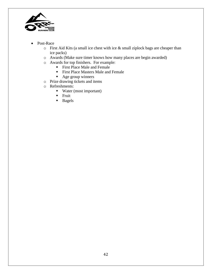

- Post-Race
	- o First Aid Kits (a small ice chest with ice & small ziplock bags are cheaper than ice packs)
	- o Awards (Make sure timer knows how many places are begin awarded)
	- o Awards for top finishers. For example:
		- First Place Male and Female
			- **First Place Masters Male and Female**
			- Age group winners
	- o Prize drawing tickets and items
	- o Refreshments:
		- Water (most important)
		- $\blacksquare$  Fruit
		- **Bagels**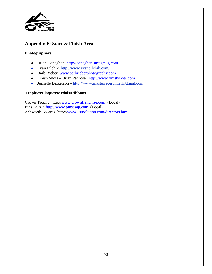

## **Appendix F: Start & Finish Area**

#### **Photographers**

- Brian Conaghan [http://conaghan.smugmug.com](http://conaghan.smugmug.com/)
- Evan Pilchik http://www.evanpilchik.com/
- Barb Rieber [www.barbrieberphotography.com](http://www.barbrieberphotography.com/)
- Finish Shots Brian Penrose [http://www.finishshots.com](http://www.finishshots.com/)
- Jeanelle Dickerson [http://www:](http://www/)masterracerunner@gmail.com

#### **Trophies/Plaques/Medals/Ribbons**

Crown Trophy http:/[/www.crownfranchise.com](http://www.crownfranchise.com/) (Local) Pins ASAP [http://www.pinsasap.com](http://www.pinsasap.com/) (Local) Ashworth Awards http:/[/www.Runolution.com/directors.htm](http://www.runolution.com/directors.htm)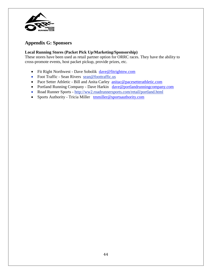

## **Appendix G: Sponsors**

#### **Local Running Stores (Packet Pick Up/Marketing/Sponsorship)**

These stores have been used as retail partner option for ORRC races. They have the ability to cross-promote events, host packet pickup, provide prizes, etc.

- Fit Right Northwest Dave Sobolik [dave@fitrightnw.com](mailto:dave@fitrightnw.com)
- Foot Traffic Sean Rivers sean@foottraffic.us
- Pace Setter Athletic Bill and Anita Carley [anitac@pacesetterathletic.com](mailto:anitac@pacesetterathletic.com)
- Portland Running Company Dave Harkin [dave@portlandrunningcompany.com](mailto:dave@portlandrunningcompany.com)
- Road Runner Sports http://ww2.roadrunnersports.com/retail/portland.html
- Sports Authority Tricia Miller [tmmiller@sportsauthority.com](mailto:tmmiller@sportsauthority.com)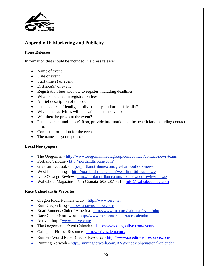

# **Appendix H: Marketing and Publicity**

#### **Press Releases**

Information that should be included in a press release:

- Name of event
- Date of event
- Start time(s) of event
- Distance(s) of event
- Registration fees and how to register, including deadlines
- What is included in registration fees
- A brief description of the course
- Is the race kid-friendly, family-friendly, and/or pet-friendly?
- What other activities will be available at the event?
- Will there be prizes at the event?
- Is the event a fund-raiser? If so, provide information on the beneficiary including contact info.
- Contact information for the event
- The names of your sponsors

#### **Local Newspapers**

- The Oregonian http://www.oregonianmediagroup.com/contact/contact-news-team/
- Portland Tribune http://portlandtribune.com/
- Gresham Outlook http://portlandtribune.com/gresham-outlook-news/
- West Linn Tidings http://portlandtribune.com/west-linn-tidings-news/
- Lake Oswego Review http://portlandtribune.com/lake-oswego-review-news/
- Walkabout Magazine Pam Granata 503-287-6914 [info@walkaboutmag.com](mailto:info@walkaboutmag.com)

#### **Race Calendars & Websites**

- Oregon Road Runners Club [http://www.orrc.net](http://www.orrc.net/)
- Run Oregon Blog http://runoregonblog.com/
- Road Runners Club of America <http://www.rrca.org/calendar/event/php>
- Race Center Northwest http://www.racecenter.com/race-calendar
- Active http://www.active.com/
- The Oregonian's Event Calendar <http://www.oregonlive.com/events>
- Gallagher Fitness Resource <http://activesalem.com/>
- Runners World Race Director Resource <http://www.racedirectorresource.com/>
- Running Network http://runningnetwork.com/RNW/index.php/national-calendar